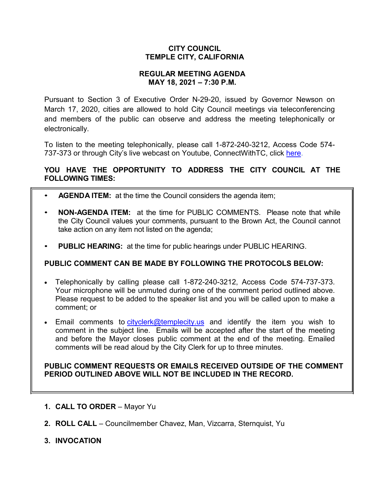## **CITY COUNCIL TEMPLE CITY, CALIFORNIA**

## **REGULAR MEETING AGENDA MAY 18, 2021 – 7:30 P.M.**

Pursuant to Section 3 of Executive Order N-29-20, issued by Governor Newson on March 17, 2020, cities are allowed to hold City Council meetings via teleconferencing and members of the public can observe and address the meeting telephonically or electronically.

To listen to the meeting telephonically, please call 1-872-240-3212, Access Code 574 737-373 or through City's live webcast on Youtube, ConnectWithTC, click [here.](https://www.ci.temple-city.ca.us/516/Meeting-Webcast)

# **YOU HAVE THE OPPORTUNITY TO ADDRESS THE CITY COUNCIL AT THE FOLLOWING TIMES:**

- **AGENDA ITEM:** at the time the Council considers the agenda item;
- **NON-AGENDA ITEM:** at the time for PUBLIC COMMENTS. Please note that while the City Council values your comments, pursuant to the Brown Act, the Council cannot take action on any item not listed on the agenda;
- **PUBLIC HEARING:** at the time for public hearings under PUBLIC HEARING.

# **PUBLIC COMMENT CAN BE MADE BY FOLLOWING THE PROTOCOLS BELOW:**

- Telephonically by calling please call 1-872-240-3212, Access Code 574-737-373. Your microphone will be unmuted during one of the comment period outlined above. Please request to be added to the speaker list and you will be called upon to make a comment; or
- Email comments to [cityclerk@templecity.us](mailto:cityclerk@templecity.us) and identify the item you wish to comment in the subject line. Emails will be accepted after the start of the meeting and before the Mayor closes public comment at the end of the meeting. Emailed comments will be read aloud by the City Clerk for up to three minutes.

### **PUBLIC COMMENT REQUESTS OR EMAILS RECEIVED OUTSIDE OF THE COMMENT PERIOD OUTLINED ABOVE WILL NOT BE INCLUDED IN THE RECORD.**

- **1. CALL TO ORDER**  Mayor Yu
- **2. ROLL CALL**  Councilmember Chavez, Man, Vizcarra, Sternquist, Yu
- **3. INVOCATION**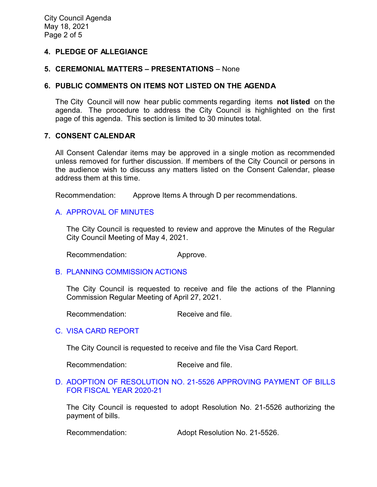### **4. PLEDGE OF ALLEGIANCE**

#### **5. CEREMONIAL MATTERS – PRESENTATIONS** – None

#### **6. PUBLIC COMMENTS ON ITEMS NOT LISTED ON THE AGENDA**

The City Council will now hear public comments regarding items **not listed** on the agenda. The procedure to address the City Council is highlighted on the first page of this agenda. This section is limited to 30 minutes total.

## **7. CONSENT CALENDAR**

All Consent Calendar items may be approved in a single motion as recommended unless removed for further discussion. If members of the City Council or persons in the audience wish to discuss any matters listed on the Consent Calendar, please address them at this time.

Recommendation: Approve Items A through D per recommendations.

### A. [APPROVAL](https://www.ci.temple-city.ca.us/DocumentCenter/View/16267/02-CCM--2021-05-04) OF MINUTES

The City Council is requested to review and approve the Minutes of the Regular City Council Meeting of May 4, 2021.

Recommendation: Approve.

#### B. [PLANNING COMMISSION ACTIONS](https://www.ci.temple-city.ca.us/DocumentCenter/View/16263/03-PC-Actions---from-2021-04-27)

The City Council is requested to receive and file the actions of the Planning Commission Regular Meeting of April 27, 2021.

Recommendation: Receive and file.

### C. [VISA CARD REPORT](https://www.ci.temple-city.ca.us/DocumentCenter/View/16264/04-Visa-Card-Report)

The City Council is requested to receive and file the Visa Card Report.

Recommendation: Receive and file.

#### D. [ADOPTION OF RESOLUTION NO. 21-5526](https://www.ci.temple-city.ca.us/DocumentCenter/View/16265/05-Warrant-Register_Reso-No-21-5526-051821---Warrants--Demands-FY-2020-2021) APPROVING PAYMENT OF BILLS [FOR FISCAL YEAR 2020-21](https://www.ci.temple-city.ca.us/DocumentCenter/View/16265/05-Warrant-Register_Reso-No-21-5526-051821---Warrants--Demands-FY-2020-2021)

The City Council is requested to adopt Resolution No. 21-5526 authorizing the payment of bills.

Recommendation: Adopt Resolution No. 21-5526.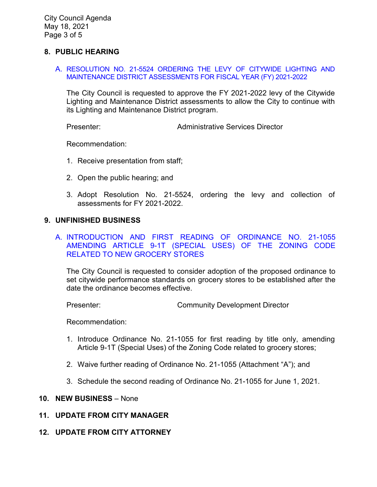City Council Agenda May 18, 2021 Page 3 of 5

#### **8. PUBLIC HEARING**

A. [RESOLUTION NO. 21-5524 ORDERING THE LEVY OF CITYWIDE LIGHTING AND](https://www.ci.temple-city.ca.us/DocumentCenter/View/16271/06-8A_Ordering-the-Levy-of-Citywide-Lighting-and-Maintenance-District_Staff-Report-v2-final-w-attachments)  [MAINTENANCE DISTRICT ASSESSMENTS FOR FISCAL YEAR \(FY\) 2021-2022](https://www.ci.temple-city.ca.us/DocumentCenter/View/16271/06-8A_Ordering-the-Levy-of-Citywide-Lighting-and-Maintenance-District_Staff-Report-v2-final-w-attachments)

The City Council is requested to approve the FY 2021-2022 levy of the Citywide Lighting and Maintenance District assessments to allow the City to continue with its Lighting and Maintenance District program.

Presenter: Administrative Services Director

Recommendation:

- 1. Receive presentation from staff;
- 2. Open the public hearing; and
- 3. Adopt Resolution No. 21-5524, ordering the levy and collection of assessments for FY 2021-2022.

#### **9. UNFINISHED BUSINESS**

### A. [INTRODUCTION AND FIRST READING OF ORDINANCE NO. 21-1055](https://www.ci.temple-city.ca.us/DocumentCenter/View/16266/07-Grocery--Store_Staff-Report)  [AMENDING ARTICLE 9-1T \(SPECIAL USES\) OF THE ZONING CODE](https://www.ci.temple-city.ca.us/DocumentCenter/View/16266/07-Grocery--Store_Staff-Report)  [RELATED TO NEW GROCERY STORES](https://www.ci.temple-city.ca.us/DocumentCenter/View/16266/07-Grocery--Store_Staff-Report)

The City Council is requested to consider adoption of the proposed ordinance to set citywide performance standards on grocery stores to be established after the date the ordinance becomes effective.

Presenter: Community Development Director

Recommendation:

- 1. Introduce Ordinance No. 21-1055 for first reading by title only, amending Article 9-1T (Special Uses) of the Zoning Code related to grocery stores;
- 2. Waive further reading of Ordinance No. 21-1055 (Attachment "A"); and
- 3. Schedule the second reading of Ordinance No. 21-1055 for June 1, 2021.

#### **10. NEW BUSINESS** – None

- **11. UPDATE FROM CITY MANAGER**
- **12. UPDATE FROM CITY ATTORNEY**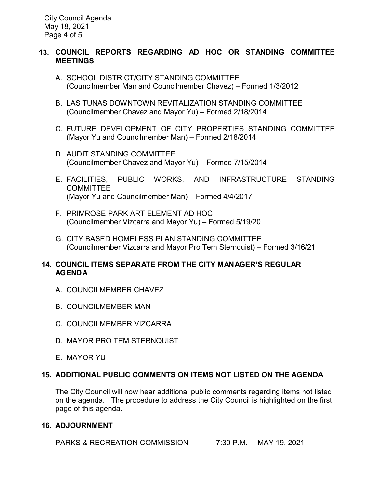City Council Agenda May 18, 2021 Page 4 of 5

## **13. COUNCIL REPORTS REGARDING AD HOC OR STANDING COMMITTEE MEETINGS**

- A. SCHOOL DISTRICT/CITY STANDING COMMITTEE (Councilmember Man and Councilmember Chavez) – Formed 1/3/2012
- B. LAS TUNAS DOWNTOWN REVITALIZATION STANDING COMMITTEE (Councilmember Chavez and Mayor Yu) – Formed 2/18/2014
- C. FUTURE DEVELOPMENT OF CITY PROPERTIES STANDING COMMITTEE (Mayor Yu and Councilmember Man) – Formed 2/18/2014
- D. AUDIT STANDING COMMITTEE (Councilmember Chavez and Mayor Yu) – Formed 7/15/2014
- E. FACILITIES, PUBLIC WORKS, AND INFRASTRUCTURE STANDING COMMITTEE (Mayor Yu and Councilmember Man) – Formed 4/4/2017
- F. PRIMROSE PARK ART ELEMENT AD HOC (Councilmember Vizcarra and Mayor Yu) – Formed 5/19/20
- G. CITY BASED HOMELESS PLAN STANDING COMMITTEE (Councilmember Vizcarra and Mayor Pro Tem Sternquist) – Formed 3/16/21

## **14. COUNCIL ITEMS SEPARATE FROM THE CITY MANAGER'S REGULAR AGENDA**

- A. COUNCILMEMBER CHAVEZ
- B. COUNCILMEMBER MAN
- C. COUNCILMEMBER VIZCARRA
- D. MAYOR PRO TEM STERNQUIST
- E. MAYOR YU

# **15. ADDITIONAL PUBLIC COMMENTS ON ITEMS NOT LISTED ON THE AGENDA**

The City Council will now hear additional public comments regarding items not listed on the agenda. The procedure to address the City Council is highlighted on the first page of this agenda.

# **16. ADJOURNMENT**

PARKS & RECREATION COMMISSION 7:30 P.M. MAY 19, 2021